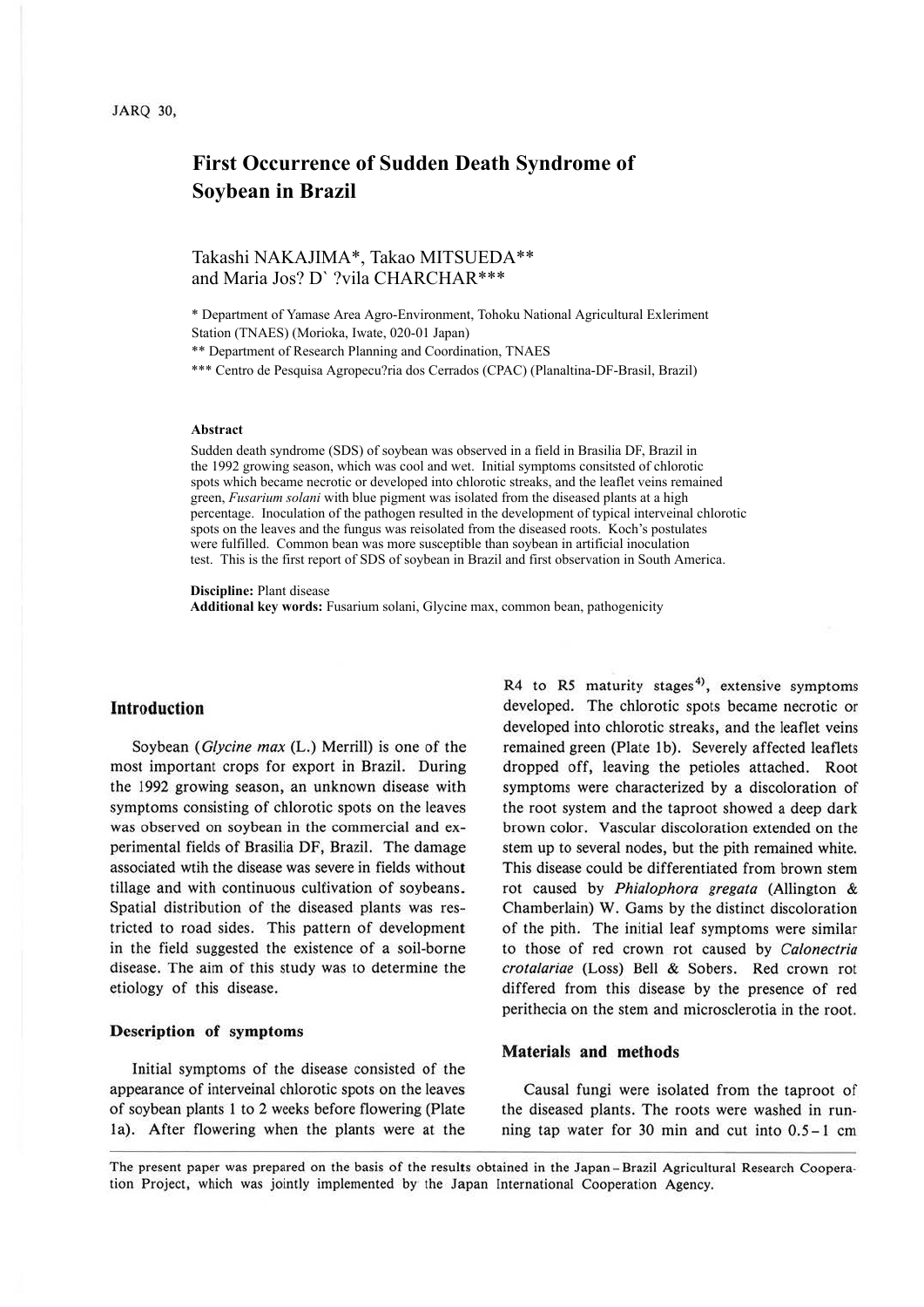# **First Occurrence of Sudden Death Syndrome of Soybean in Brazil**

## Takashi NAKAJIMA\*, Takao MITSUEDA\*\* and Maria Jos? D` ?vila CHARCHAR\*\*\*

\* Department of Yamase Area Agro-Environment, Tohoku National Agricultural Exleriment Station (TNAES) (Morioka, Iwate, 020-01 Japan)

\*\* Department of Research Planning and Coordination, TNAES

\*\*\* Centro de Pesquisa Agropecu?ria dos Cerrados (CPAC) (Planaltina-DF-Brasil, Brazil)

#### **Abstract**

Sudden death syndrome (SDS) of soybean was observed in a field in Brasilia DF, Brazil in the 1992 growing season, which was cool and wet. Initial symptoms consitsted of chlorotic spots which became necrotic or developed into chlorotic streaks, and the leaflet veins remained green, *Fusarium solani* with blue pigment was isolated from the diseased plants at a high percentage. Inoculation of the pathogen resulted in the development of typical interveinal chlorotic spots on the leaves and the fungus was reisolated from the diseased roots. Koch's postulates were fulfilled. Common bean was more susceptible than soybean in artificial inoculation test. This is the first report of SDS of soybean in Brazil and first observation in South America.

**Discipline:** Plant disease

**Additional key words:** Fusarium solani, Glycine max, common bean, pathogenicity

### **Introduction**

Soybean *(Glycine max* (L.) Merrill) is one of the most important crops for export in Brazil. During the 1992 growing season, an unknown disease with symptoms consisting of chlorotic spots on the leaves was observed on soybean in the commercial and experimental fields of Brasilia DF, Brazil. The damage associated wtih the disease was severe in fields without tillage and with continuous cultivation of soybeans. Spatial distribution of the diseased plants was restricted to road sides. This pattern of development in the field suggested the existence of a soil-borne disease. The aim of this study was to determine the etiology of this disease.

#### **Description of symptoms**

Initial symptoms of the disease consisted of the appearance of interveinal chlorotic spots on the leaves of soybean plants 1 to 2 weeks before flowering (Plate la). After flowering when the plants were at the

R4 to R5 maturity stages<sup>4)</sup>, extensive symptoms developed. The chlorotic spots became necrotic or developed into chlorotic streaks, and the leaflet veins remained green (Plate 1b). Severely affected leaflets dropped off, leaving the petioles attached. Root symptoms were characterized by a discoloration of the root system and the taproot showed a deep dark brown color. Vascular discoloration extended on the stem up to several nodes, but the pith remained white. This disease could be differentiated from brown stem rot caused by *Phialophora gregata* (Allington & Chamberlain) W. Gams by the distinct discoloration of the pith. The initial leaf symptoms were similar to those of red crown rot caused by *Calonectria crotalariae* (Loss) Bell & Sobers. Red crown rot differed from this disease by the presence of red perithecia on the stem and microsclerotia in the root.

#### **Materials and methods**

Causal fungi were isolated from the taproot of the diseased plants. The roots were washed in running tap water for 30 min and cut into 0.5-1 cm

The present paper was prepared on the basis of the results obtained in the Japan-Brazil Agricultural Research Cooperation Project, which was jointly implemented by the Japan International Cooperation Agency.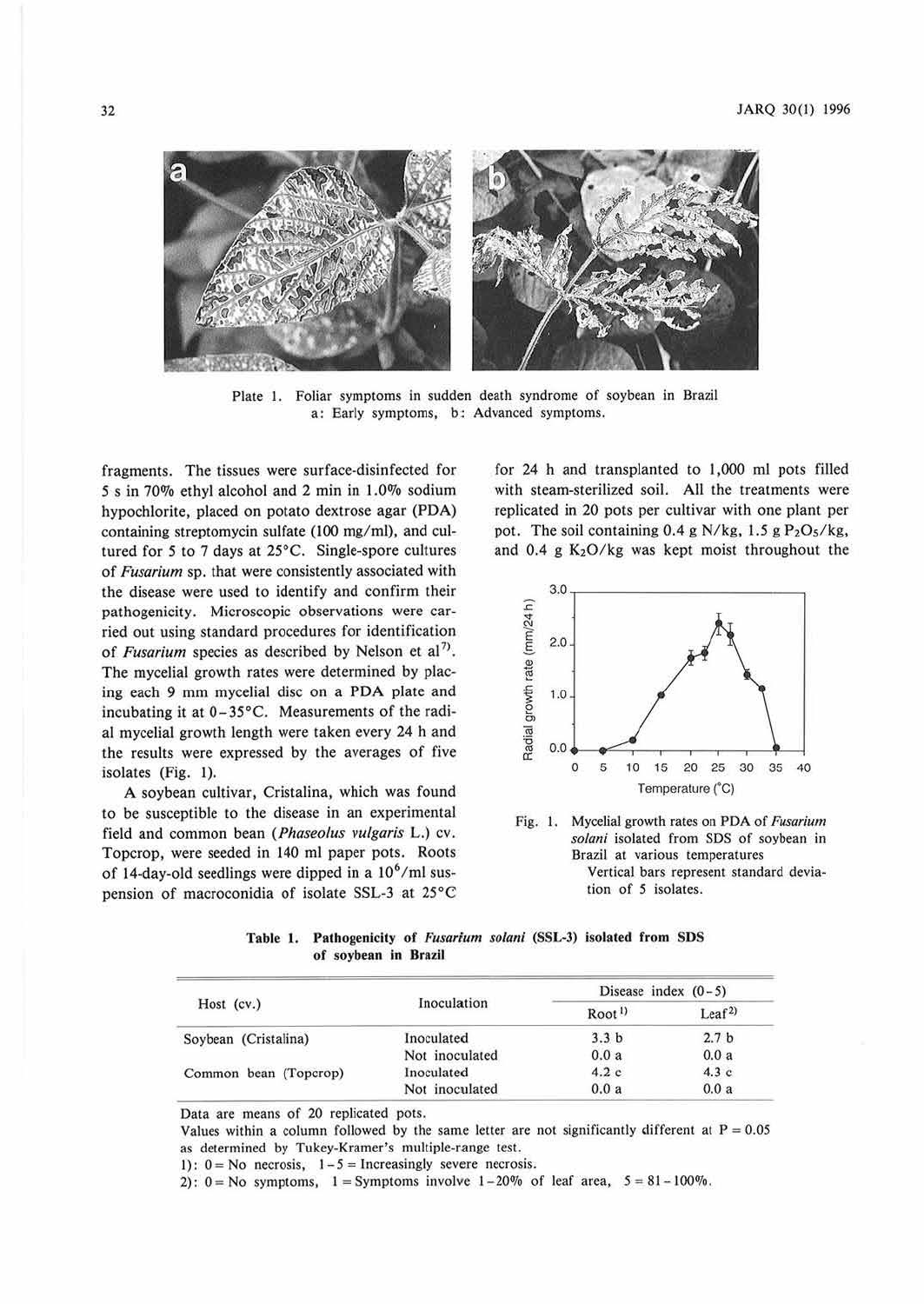

Plate I. Foliar symptoms in sudden death syndrome of soybean in Brazil a: Early symptoms, b; Advanced symptoms.

fragments. The tissues were surface-disinfected for 5 s in 70% ethyl alcohol and 2 min in 1.0% sodium hypochlorite, placed on potato dextrose agar **(PDA)**  containing streptomycin sulfate (100 mg/ml), and cultured for *5* to 7 days at 25°C. Single-spore cultures of *Fusarium* sp. that were consistently associated with the disease were used to identify and confirm their pathogenicity. Microscopic observations were carried out using standard procedures for identification of *Fusarium* species as described by Nelson et al<sup>7)</sup>. The mycelial growth rates were determined by placing each 9 mm mycelial disc on a PDA plate and incubating it at 0-35°C. Measurements of the radial mycelial growth length were taken every 24 h and the results were expressed by the averages of five isolates (Fig. 1).

A soybean cultivar, Cristalina, which was found to be susceptible to the disease in an experimental field and common bean *(Phaseolus vulgaris* L.) cv. Topcrop, were seeded in 140 ml paper pots. Roots of 14-day-old seedlings were dipped in a  $10^6$ /ml suspension of macroconidia of isolate SSL-3 at 25°C

for 24 h and transplanted to 1,000 ml pots filled with steam-sterilized soil. All the treatments were replicated in 20 pots per cultivar with one plant per pot. The soil containing  $0.4$  g N/kg,  $1.5$  g  $P<sub>2</sub>O<sub>5</sub>/kg$ , and 0.4 g  $K<sub>2</sub>O/kg$  was kept moist throughout the



Fig. I. Mycclial growth rates on PDA of *Fusarium solani* isolated from SOS of soybean in Brazil at various temperatures Vertical bars represent standard deviation of *5* isolates.

Table 1. Pathogenicity of *Fusarium solani* (SSL-3) isolated from SDS **of soybean in Brazil** 

| Host (cv.)            | Inoculation    | Disease index $(0-5)$ |                   |
|-----------------------|----------------|-----------------------|-------------------|
|                       |                | Root <sup>1</sup>     | Leaf <sup>2</sup> |
| Soybean (Cristalina)  | Inoculated     | 3.3 <sub>b</sub>      | 2.7 <sub>b</sub>  |
|                       | Not inoculated | 0.0a                  | 0.0a              |
| Common bean (Topcrop) | Inoculated     | 4.2c                  | 4.3c              |
|                       | Not inoculated | 0.0a                  | 0.0a              |

Data are means of 20 replicated pots.

Values within a column followed by the same letter are not significantly different at  $P = 0.05$ as determined by Tukey-Kramer's multiple-range test.

1):  $0 = No$  necrosis,  $1-5 = Increasingly$  severe necrosis.

2):  $0 = No$  symptoms,  $1 = Symptoms$  involve  $1-20\%$  of leaf area,  $5 = 81-100\%$ .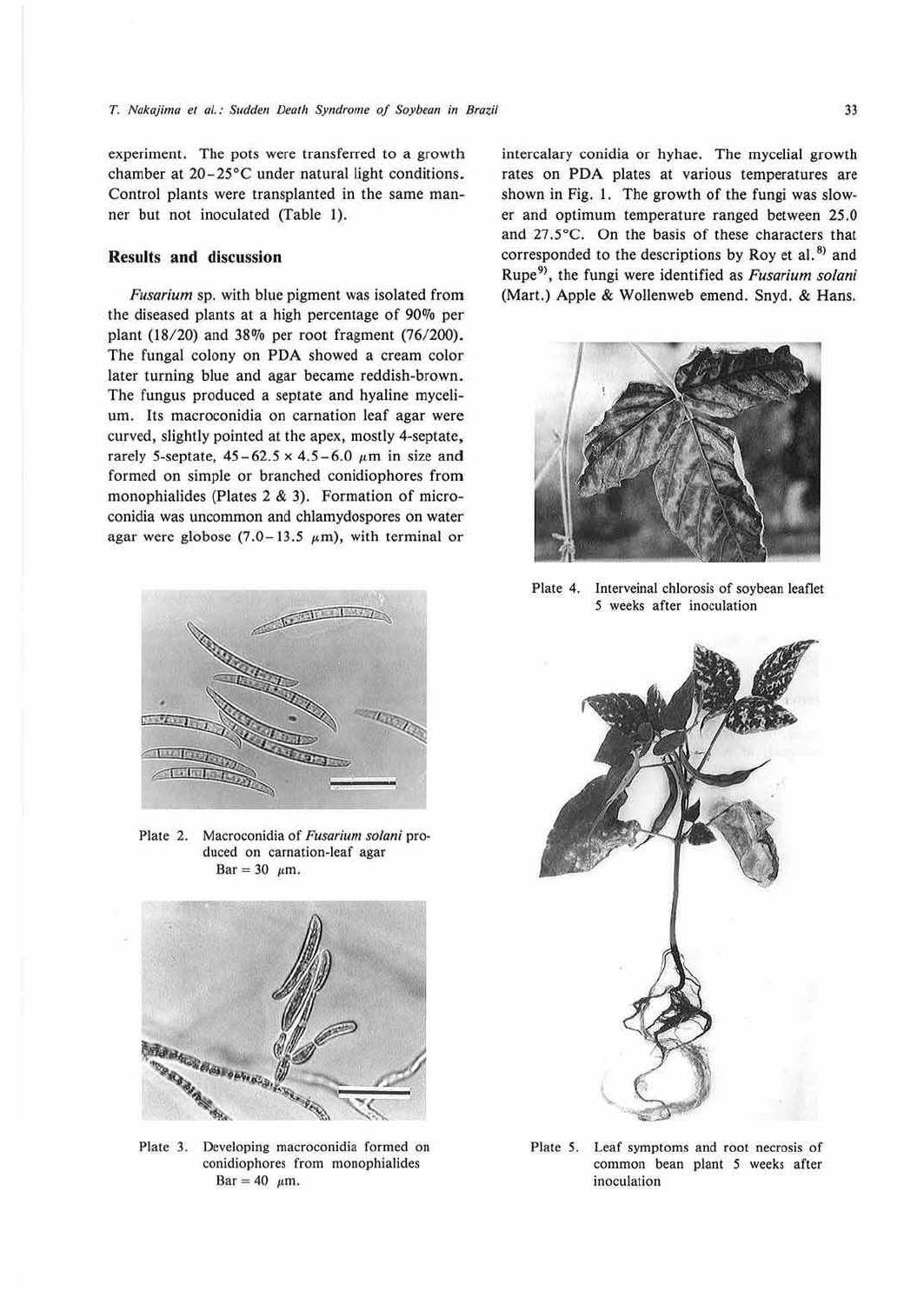experiment. The pots were transferred to a growth chamber at 20-25°C under natural light conditions. Control plants were transplanted in the same manner but not inoculated (Table !).

#### **Results and discussion**

*Fusarium* sp. with blue pigment was isolated from the diseased plants at a high percentage of 90% per plant (18/20) and 38% per root fragment (76/200). The fungal colony on PDA showed a cream color later turning blue and agar became reddish-brown. The fungus produced a septate and hyaline mycelium. Its macroconidia on carnation leaf agar were curved, slightly pointed at the apex, mostly 4-septate, rarely 5-septate,  $45-62.5 \times 4.5-6.0 \mu m$  in size and formed on simple or branched conidiophores from monophialides (Plates 2 & 3). Formation of microconidia was uncommon and chlarnydospores on water agar were globose (7.0–13.5  $\mu$ m), with terminal or



Plate 2. Macroconidia of Fusarium solani produced on carnation-leaf agar Bar = 30  $\mu$ m.



Plate 3. Developing macroconidia formed on conidiophores from monophialides Bar = 40  $\mu$ m.

intercalary conidia or hyhae. The mycelial growth rates on PDA plates at various temperatures are shown in Fig. I. The growth of the fungi was slower and optimum temperature ranged between 25.0 and 27 .5°C. On the basis of these characters that corresponded to the descriptions by Roy et al. *8'>* and Rupe <sup>9</sup> >, the fungi were identified as *Fusarium solani*  (Mart.) Apple & Wollenweb emend. Snyd. & Hans.



Plate 4. lnterveinal chlorosis of soybean leaflet *5* weeks after inoculation



Plate 5. Leaf symptoms and root necrosis of common bean plant *5* weeks after inoculation